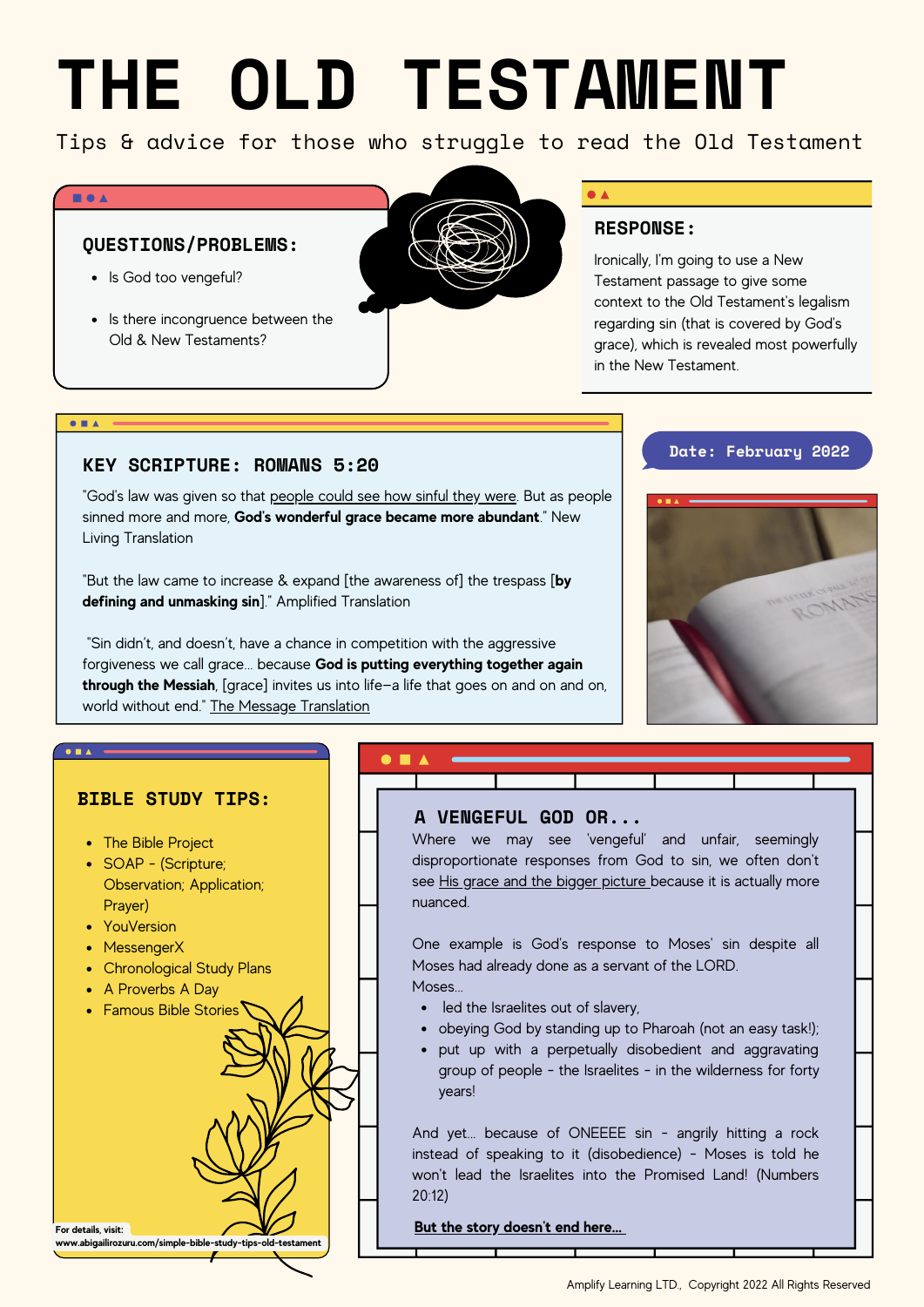# **THE OLD TESTAMENT**

Tips & advice for those who struggle to read the Old Testament

#### **BOA**

# **QUESTIONS/PROBLEMS:**

- Is God too vengeful?
- Is there incongruence between the Old & New Testaments?



# **RESPONSE:**

Ironically, I'm going to use a New Testament passage to give some context to the Old Testament's legalism regarding sin (that is covered by God's grace), which is revealed most powerfully in the New Testament.

## $\bullet$   $\bullet$   $\bullet$

# **KEY SCRIPTURE: ROMANS 5:20**

"God's law was given so that people could see how sinful they were. But as people sinned more and more, **God's wonderful grace became more abundant**." New Living Translation

"But the law came to increase & expand [the awareness of] the trespass [**by defining and unmasking sin**]." Amplified Translation

"Sin didn't, and doesn't, have a chance in competition with the aggressive forgiveness we call grace... because **God is putting everything together again through the Messiah**, [grace] invites us into life—a life that goes on and on and on, world without end." The Message [Translation](https://bit.ly/3hiDUqs)

# **Date: February 2022**



# **BIBLE STUDY TIPS:**

- The Bible Project
- SOAP (Scripture; Observation; Application; Prayer)
- YouVersion

**For details, visit:**

- MessengerX
- Chronological Study Plans
- A Proverbs A Day

**www.abigailirozuru.com/simple-bible-study-tips-old-testament**



Where we may see 'vengeful' and unfair, seemingly disproportionate responses from God to sin, we often don't see His grace and the bigger picture because it is actually more nuanced.

One example is God's response to Moses' sin despite all Moses had already done as a servant of the LORD.

- **Moses**
- Famous Bible Stories  $\bigwedge$   $\bigwedge$   $\bigwedge$   $\bigwedge$  ed the Israelites out of slavery,
	- obeying God by standing up to Pharoah (not an easy task!);
	- put up with a perpetually disobedient and aggravating group of people - the Israelites - in the wilderness for forty years!

And yet... because of ONEEEE sin - angrily hitting a rock instead of speaking to it (disobedience) - Moses is told he won't lead the Israelites into the Promised Land! (Numbers 20:12)

**But the story doesn't end here...**